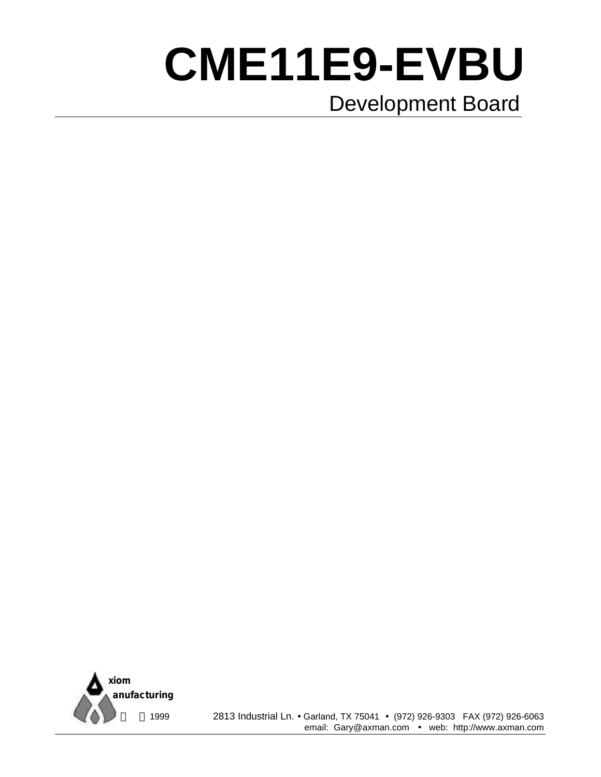# **CME11E9-EVBU** Development Board



 1999 2813 Industrial Ln. • Garland, TX 75041 • (972) 926-9303 FAX (972) 926-6063 email: Gary@axman.com • web: http://www.axman.com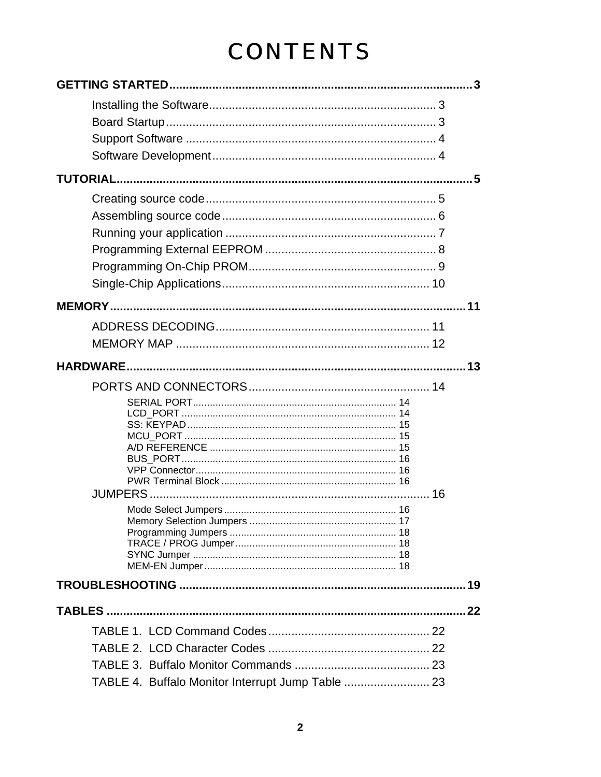# **CONTENTS**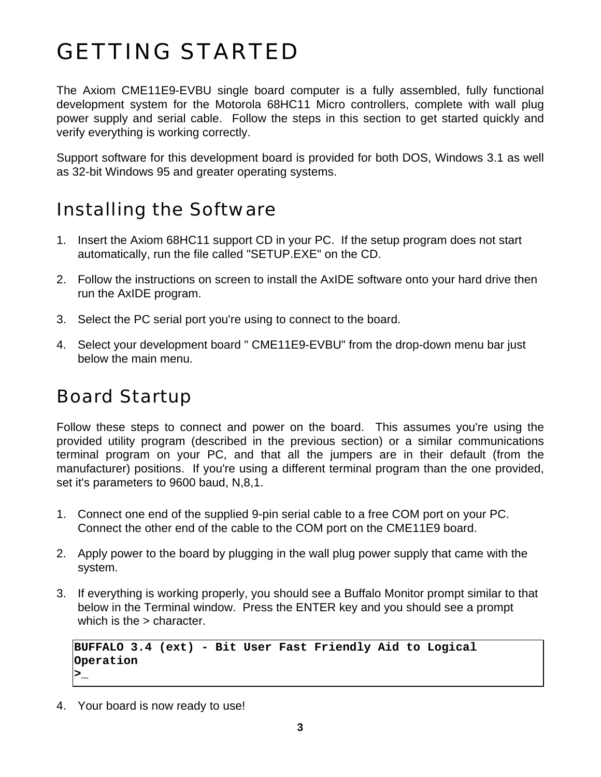# GETTING STARTED

The Axiom CME11E9-EVBU single board computer is a fully assembled, fully functional development system for the Motorola 68HC11 Micro controllers, complete with wall plug power supply and serial cable. Follow the steps in this section to get started quickly and verify everything is working correctly.

Support software for this development board is provided for both DOS, Windows 3.1 as well as 32-bit Windows 95 and greater operating systems.

### Installing the Software

- 1. Insert the Axiom 68HC11 support CD in your PC. If the setup program does not start automatically, run the file called "SETUP.EXE" on the CD.
- 2. Follow the instructions on screen to install the AxIDE software onto your hard drive then run the AxIDE program.
- 3. Select the PC serial port you're using to connect to the board.
- 4. Select your development board " CME11E9-EVBU" from the drop-down menu bar just below the main menu.

### Board Startup

Follow these steps to connect and power on the board. This assumes you're using the provided utility program (described in the previous section) or a similar communications terminal program on your PC, and that all the jumpers are in their default (from the manufacturer) positions. If you're using a different terminal program than the one provided, set it's parameters to 9600 baud, N,8,1.

- 1. Connect one end of the supplied 9-pin serial cable to a free COM port on your PC. Connect the other end of the cable to the COM port on the CME11E9 board.
- 2. Apply power to the board by plugging in the wall plug power supply that came with the system.
- 3. If everything is working properly, you should see a Buffalo Monitor prompt similar to that below in the Terminal window. Press the ENTER key and you should see a prompt which is the > character.

```
BUFFALO 3.4 (ext) - Bit User Fast Friendly Aid to Logical
Operation
>_
```
4. Your board is now ready to use!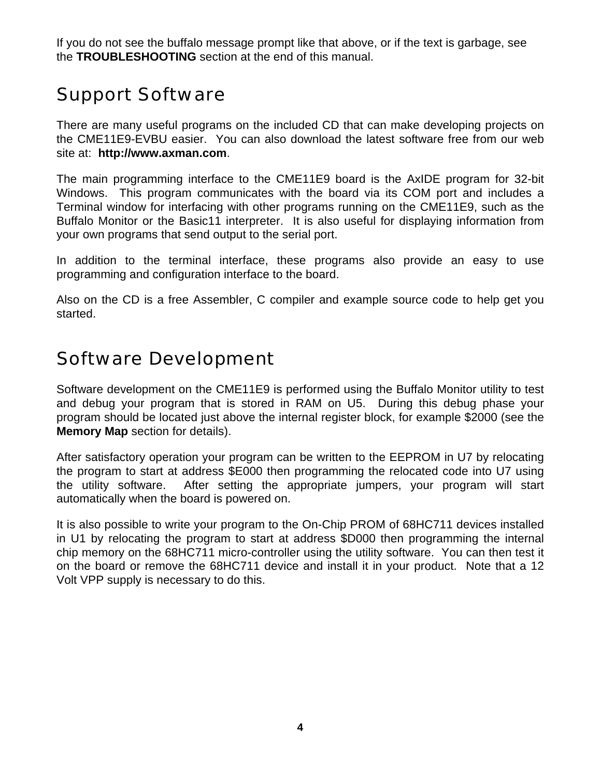If you do not see the buffalo message prompt like that above, or if the text is garbage, see the **TROUBLESHOOTING** section at the end of this manual.

### Support Software

There are many useful programs on the included CD that can make developing projects on the CME11E9-EVBU easier. You can also download the latest software free from our web site at: **http://www.axman.com**.

The main programming interface to the CME11E9 board is the AxIDE program for 32-bit Windows. This program communicates with the board via its COM port and includes a Terminal window for interfacing with other programs running on the CME11E9, such as the Buffalo Monitor or the Basic11 interpreter. It is also useful for displaying information from your own programs that send output to the serial port.

In addition to the terminal interface, these programs also provide an easy to use programming and configuration interface to the board.

Also on the CD is a free Assembler, C compiler and example source code to help get you started.

### Software Development

Software development on the CME11E9 is performed using the Buffalo Monitor utility to test and debug your program that is stored in RAM on U5. During this debug phase your program should be located just above the internal register block, for example \$2000 (see the **Memory Map** section for details).

After satisfactory operation your program can be written to the EEPROM in U7 by relocating the program to start at address \$E000 then programming the relocated code into U7 using the utility software. After setting the appropriate jumpers, your program will start automatically when the board is powered on.

It is also possible to write your program to the On-Chip PROM of 68HC711 devices installed in U1 by relocating the program to start at address \$D000 then programming the internal chip memory on the 68HC711 micro-controller using the utility software. You can then test it on the board or remove the 68HC711 device and install it in your product. Note that a 12 Volt VPP supply is necessary to do this.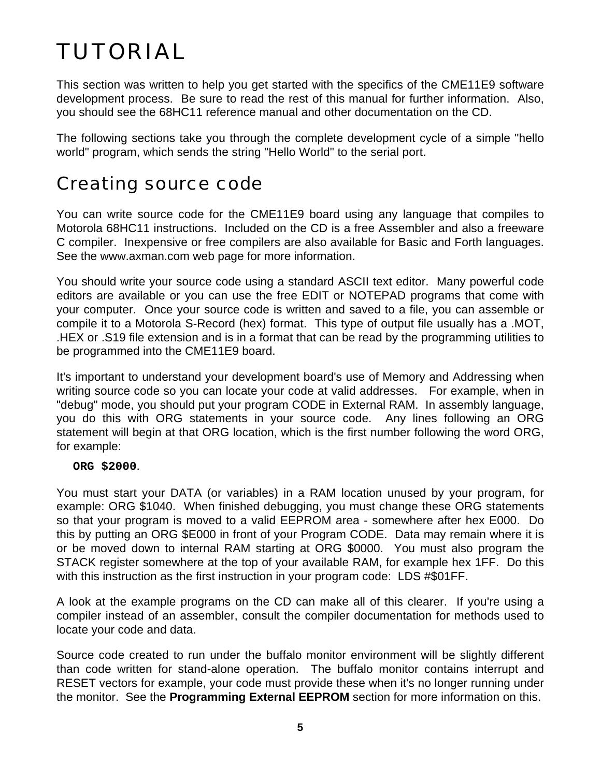# TUTORIAL

This section was written to help you get started with the specifics of the CME11E9 software development process. Be sure to read the rest of this manual for further information. Also, you should see the 68HC11 reference manual and other documentation on the CD.

The following sections take you through the complete development cycle of a simple "hello world" program, which sends the string "Hello World" to the serial port.

### Creating source code

You can write source code for the CME11E9 board using any language that compiles to Motorola 68HC11 instructions. Included on the CD is a free Assembler and also a freeware C compiler. Inexpensive or free compilers are also available for Basic and Forth languages. See the www.axman.com web page for more information.

You should write your source code using a standard ASCII text editor. Many powerful code editors are available or you can use the free EDIT or NOTEPAD programs that come with your computer. Once your source code is written and saved to a file, you can assemble or compile it to a Motorola S-Record (hex) format. This type of output file usually has a .MOT, .HEX or .S19 file extension and is in a format that can be read by the programming utilities to be programmed into the CME11E9 board.

It's important to understand your development board's use of Memory and Addressing when writing source code so you can locate your code at valid addresses. For example, when in "debug" mode, you should put your program CODE in External RAM. In assembly language, you do this with ORG statements in your source code. Any lines following an ORG statement will begin at that ORG location, which is the first number following the word ORG, for example:

**ORG \$2000**.

You must start your DATA (or variables) in a RAM location unused by your program, for example: ORG \$1040. When finished debugging, you must change these ORG statements so that your program is moved to a valid EEPROM area - somewhere after hex E000. Do this by putting an ORG \$E000 in front of your Program CODE. Data may remain where it is or be moved down to internal RAM starting at ORG \$0000. You must also program the STACK register somewhere at the top of your available RAM, for example hex 1FF. Do this with this instruction as the first instruction in your program code: LDS #\$01FF.

A look at the example programs on the CD can make all of this clearer. If you're using a compiler instead of an assembler, consult the compiler documentation for methods used to locate your code and data.

Source code created to run under the buffalo monitor environment will be slightly different than code written for stand-alone operation. The buffalo monitor contains interrupt and RESET vectors for example, your code must provide these when it's no longer running under the monitor. See the **Programming External EEPROM** section for more information on this.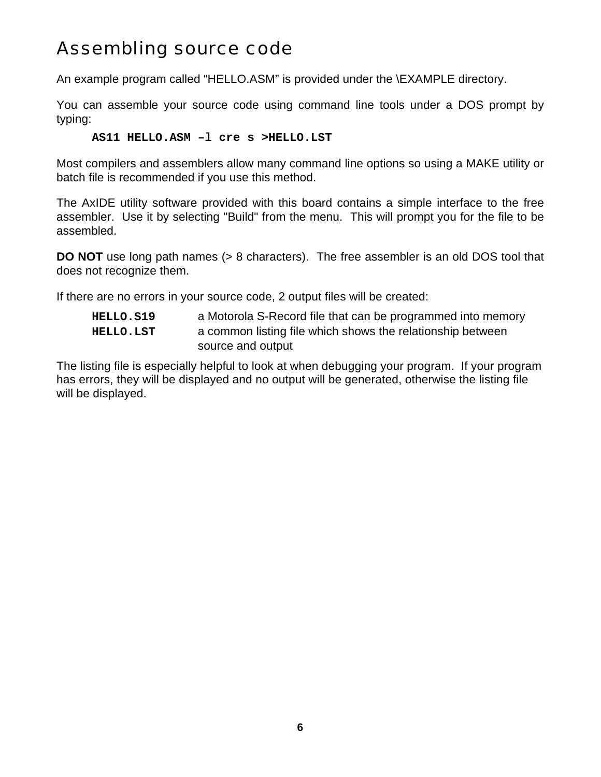### Assembling source code

An example program called "HELLO.ASM" is provided under the \EXAMPLE directory.

You can assemble your source code using command line tools under a DOS prompt by typing:

#### **AS11 HELLO.ASM –l cre s >HELLO.LST**

Most compilers and assemblers allow many command line options so using a MAKE utility or batch file is recommended if you use this method.

The AxIDE utility software provided with this board contains a simple interface to the free assembler. Use it by selecting "Build" from the menu. This will prompt you for the file to be assembled.

**DO NOT** use long path names (> 8 characters). The free assembler is an old DOS tool that does not recognize them.

If there are no errors in your source code, 2 output files will be created:

| <b>HELLO.S19</b> | a Motorola S-Record file that can be programmed into memory |
|------------------|-------------------------------------------------------------|
| <b>HELLO.LST</b> | a common listing file which shows the relationship between  |
|                  | source and output                                           |

The listing file is especially helpful to look at when debugging your program. If your program has errors, they will be displayed and no output will be generated, otherwise the listing file will be displayed.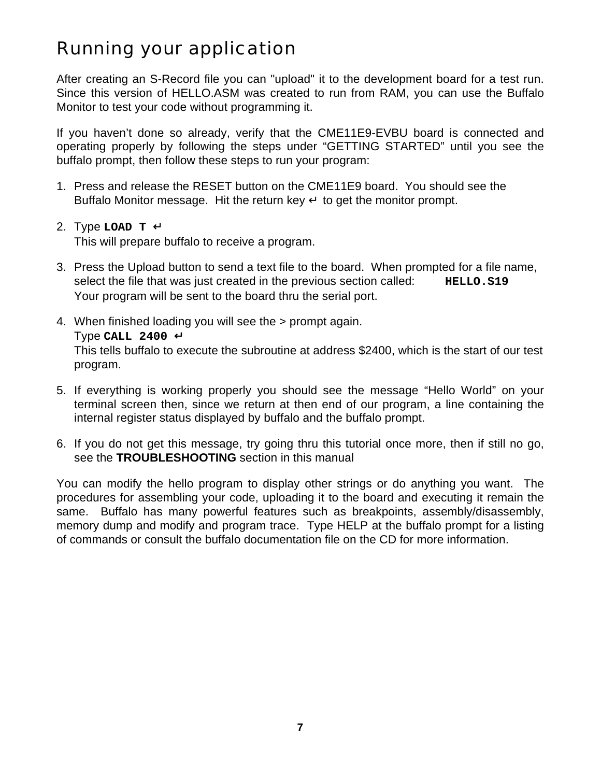### Running your application

After creating an S-Record file you can "upload" it to the development board for a test run. Since this version of HELLO.ASM was created to run from RAM, you can use the Buffalo Monitor to test your code without programming it.

If you haven't done so already, verify that the CME11E9-EVBU board is connected and operating properly by following the steps under "GETTING STARTED" until you see the buffalo prompt, then follow these steps to run your program:

- 1. Press and release the RESET button on the CME11E9 board. You should see the Buffalo Monitor message. Hit the return key  $\downarrow$  to get the monitor prompt.
- 2. Type **LOAD T** ↵ This will prepare buffalo to receive a program.
- 3. Press the Upload button to send a text file to the board. When prompted for a file name, select the file that was just created in the previous section called: **HELLO.S19** Your program will be sent to the board thru the serial port.
- 4. When finished loading you will see the > prompt again. Type **CALL 2400** ↵ This tells buffalo to execute the subroutine at address \$2400, which is the start of our test program.
- 5. If everything is working properly you should see the message "Hello World" on your terminal screen then, since we return at then end of our program, a line containing the internal register status displayed by buffalo and the buffalo prompt.
- 6. If you do not get this message, try going thru this tutorial once more, then if still no go, see the **TROUBLESHOOTING** section in this manual

You can modify the hello program to display other strings or do anything you want. The procedures for assembling your code, uploading it to the board and executing it remain the same. Buffalo has many powerful features such as breakpoints, assembly/disassembly, memory dump and modify and program trace. Type HELP at the buffalo prompt for a listing of commands or consult the buffalo documentation file on the CD for more information.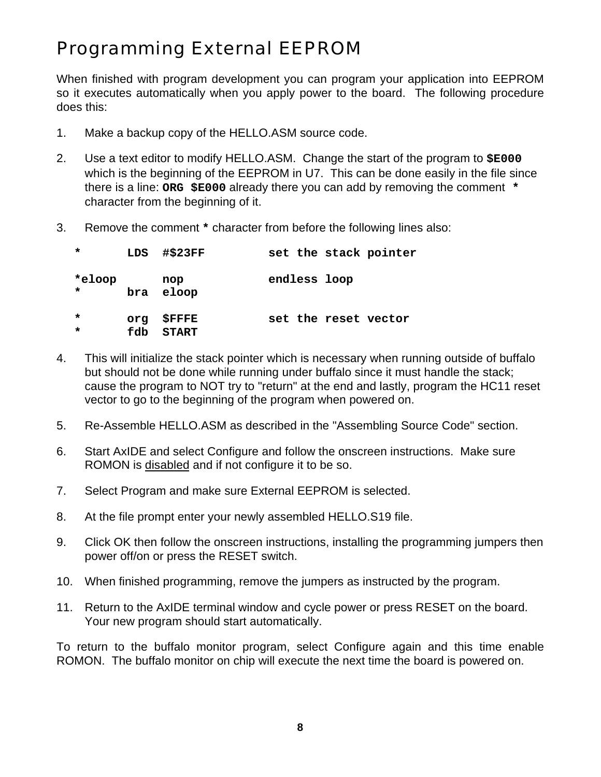### Programming External EEPROM

When finished with program development you can program your application into EEPROM so it executes automatically when you apply power to the board. The following procedure does this:

- 1. Make a backup copy of the HELLO.ASM source code.
- 2. Use a text editor to modify HELLO.ASM. Change the start of the program to **\$E000** which is the beginning of the EEPROM in U7. This can be done easily in the file since there is a line: **ORG \$E000** already there you can add by removing the comment **\*** character from the beginning of it.
- 3. Remove the comment **\*** character from before the following lines also:

| $\star$            |            | LDS #\$23FF                   |              | set the stack pointer |
|--------------------|------------|-------------------------------|--------------|-----------------------|
| *eloop<br>$\star$  |            | nop<br>bra eloop              | endless loop |                       |
| $\star$<br>$\star$ | ora<br>fdb | <b>\$FFFE</b><br><b>START</b> |              | set the reset vector  |

- 4. This will initialize the stack pointer which is necessary when running outside of buffalo but should not be done while running under buffalo since it must handle the stack; cause the program to NOT try to "return" at the end and lastly, program the HC11 reset vector to go to the beginning of the program when powered on.
- 5. Re-Assemble HELLO.ASM as described in the "Assembling Source Code" section.
- 6. Start AxIDE and select Configure and follow the onscreen instructions. Make sure ROMON is disabled and if not configure it to be so.
- 7. Select Program and make sure External EEPROM is selected.
- 8. At the file prompt enter your newly assembled HELLO.S19 file.
- 9. Click OK then follow the onscreen instructions, installing the programming jumpers then power off/on or press the RESET switch.
- 10. When finished programming, remove the jumpers as instructed by the program.
- 11. Return to the AxIDE terminal window and cycle power or press RESET on the board. Your new program should start automatically.

To return to the buffalo monitor program, select Configure again and this time enable ROMON. The buffalo monitor on chip will execute the next time the board is powered on.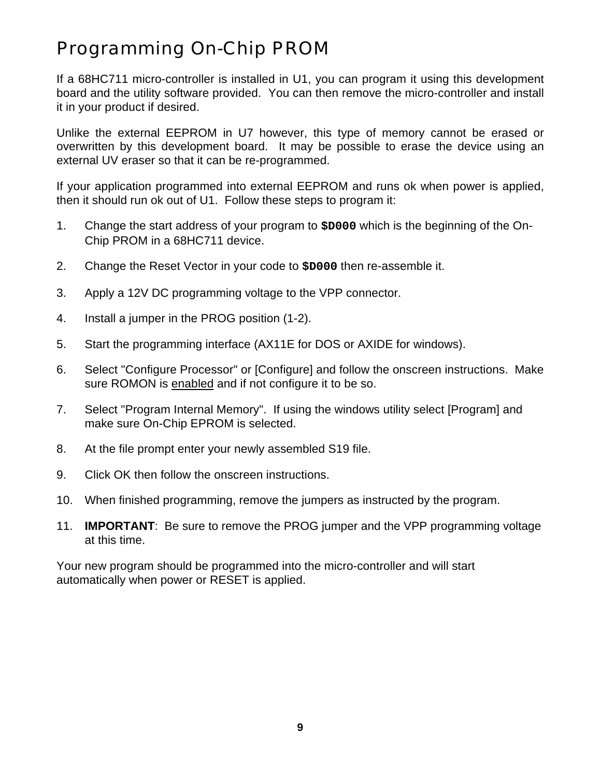### Programming On-Chip PROM

If a 68HC711 micro-controller is installed in U1, you can program it using this development board and the utility software provided. You can then remove the micro-controller and install it in your product if desired.

Unlike the external EEPROM in U7 however, this type of memory cannot be erased or overwritten by this development board. It may be possible to erase the device using an external UV eraser so that it can be re-programmed.

If your application programmed into external EEPROM and runs ok when power is applied, then it should run ok out of U1. Follow these steps to program it:

- 1. Change the start address of your program to **\$D000** which is the beginning of the On-Chip PROM in a 68HC711 device.
- 2. Change the Reset Vector in your code to **\$D000** then re-assemble it.
- 3. Apply a 12V DC programming voltage to the VPP connector.
- 4. Install a jumper in the PROG position (1-2).
- 5. Start the programming interface (AX11E for DOS or AXIDE for windows).
- 6. Select "Configure Processor" or [Configure] and follow the onscreen instructions. Make sure ROMON is enabled and if not configure it to be so.
- 7. Select "Program Internal Memory". If using the windows utility select [Program] and make sure On-Chip EPROM is selected.
- 8. At the file prompt enter your newly assembled S19 file.
- 9. Click OK then follow the onscreen instructions.
- 10. When finished programming, remove the jumpers as instructed by the program.
- 11. **IMPORTANT**: Be sure to remove the PROG jumper and the VPP programming voltage at this time.

Your new program should be programmed into the micro-controller and will start automatically when power or RESET is applied.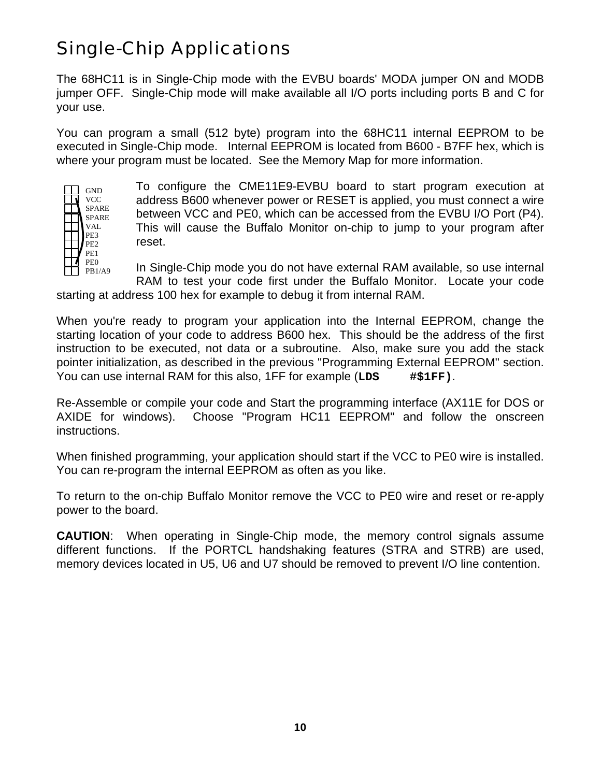### Single-Chip Applications

The 68HC11 is in Single-Chip mode with the EVBU boards' MODA jumper ON and MODB jumper OFF. Single-Chip mode will make available all I/O ports including ports B and C for your use.

You can program a small (512 byte) program into the 68HC11 internal EEPROM to be executed in Single-Chip mode. Internal EEPROM is located from B600 - B7FF hex, which is where your program must be located. See the Memory Map for more information.



To configure the CME11E9-EVBU board to start program execution at address B600 whenever power or RESET is applied, you must connect a wire between VCC and PE0, which can be accessed from the EVBU I/O Port (P4). This will cause the Buffalo Monitor on-chip to jump to your program after reset.

In Single-Chip mode you do not have external RAM available, so use internal RAM to test your code first under the Buffalo Monitor. Locate your code

starting at address 100 hex for example to debug it from internal RAM.

When you're ready to program your application into the Internal EEPROM, change the starting location of your code to address B600 hex. This should be the address of the first instruction to be executed, not data or a subroutine. Also, make sure you add the stack pointer initialization, as described in the previous "Programming External EEPROM" section. You can use internal RAM for this also, 1FF for example (**LDS #\$1FF)**.

Re-Assemble or compile your code and Start the programming interface (AX11E for DOS or AXIDE for windows). Choose "Program HC11 EEPROM" and follow the onscreen instructions.

When finished programming, your application should start if the VCC to PE0 wire is installed. You can re-program the internal EEPROM as often as you like.

To return to the on-chip Buffalo Monitor remove the VCC to PE0 wire and reset or re-apply power to the board.

**CAUTION**: When operating in Single-Chip mode, the memory control signals assume different functions. If the PORTCL handshaking features (STRA and STRB) are used, memory devices located in U5, U6 and U7 should be removed to prevent I/O line contention.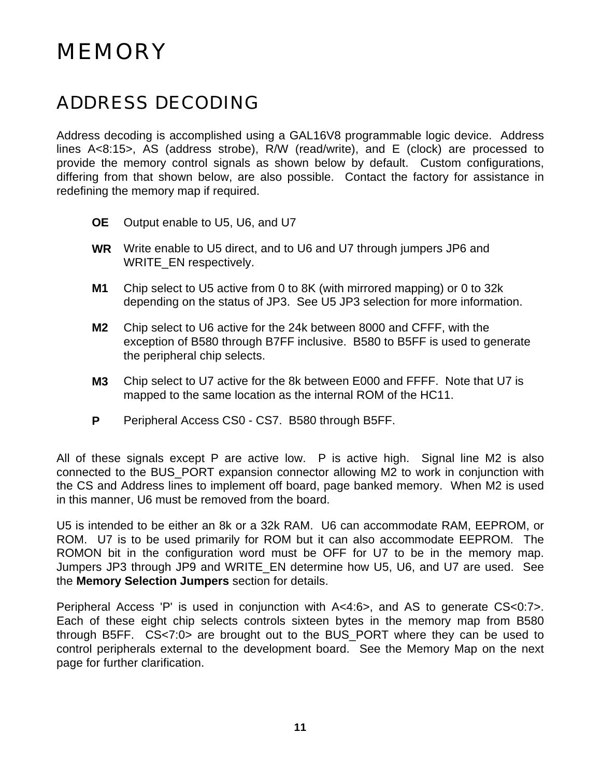## MEMORY

### ADDRESS DECODING

Address decoding is accomplished using a GAL16V8 programmable logic device. Address lines A<8:15>, AS (address strobe), R/W (read/write), and E (clock) are processed to provide the memory control signals as shown below by default. Custom configurations, differing from that shown below, are also possible. Contact the factory for assistance in redefining the memory map if required.

- **OE** Output enable to U5, U6, and U7
- **WR** Write enable to U5 direct, and to U6 and U7 through jumpers JP6 and WRITE\_EN respectively.
- **M1** Chip select to U5 active from 0 to 8K (with mirrored mapping) or 0 to 32k depending on the status of JP3. See U5 JP3 selection for more information.
- **M2** Chip select to U6 active for the 24k between 8000 and CFFF, with the exception of B580 through B7FF inclusive. B580 to B5FF is used to generate the peripheral chip selects.
- **M3** Chip select to U7 active for the 8k between E000 and FFFF. Note that U7 is mapped to the same location as the internal ROM of the HC11.
- **P** Peripheral Access CS0 CS7. B580 through B5FF.

All of these signals except P are active low. P is active high. Signal line M2 is also connected to the BUS\_PORT expansion connector allowing M2 to work in conjunction with the CS and Address lines to implement off board, page banked memory. When M2 is used in this manner, U6 must be removed from the board.

U5 is intended to be either an 8k or a 32k RAM. U6 can accommodate RAM, EEPROM, or ROM. U7 is to be used primarily for ROM but it can also accommodate EEPROM. The ROMON bit in the configuration word must be OFF for U7 to be in the memory map. Jumpers JP3 through JP9 and WRITE\_EN determine how U5, U6, and U7 are used. See the **Memory Selection Jumpers** section for details.

Peripheral Access 'P' is used in conjunction with A<4:6>, and AS to generate CS<0:7>. Each of these eight chip selects controls sixteen bytes in the memory map from B580 through B5FF. CS<7:0> are brought out to the BUS\_PORT where they can be used to control peripherals external to the development board. See the Memory Map on the next page for further clarification.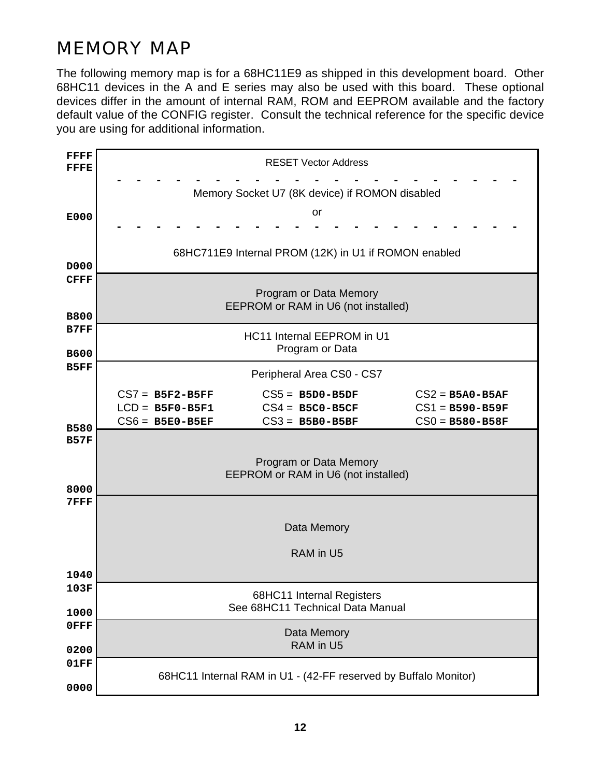### MEMORY MAP

The following memory map is for a 68HC11E9 as shipped in this development board. Other 68HC11 devices in the A and E series may also be used with this board. These optional devices differ in the amount of internal RAM, ROM and EEPROM available and the factory default value of the CONFIG register. Consult the technical reference for the specific device you are using for additional information.

| <b>FFFF</b><br>FFFE | <b>RESET Vector Address</b>                    |                                                                 |                     |  |  |  |  |  |
|---------------------|------------------------------------------------|-----------------------------------------------------------------|---------------------|--|--|--|--|--|
|                     | Memory Socket U7 (8K device) if ROMON disabled |                                                                 |                     |  |  |  |  |  |
| E000                | or                                             |                                                                 |                     |  |  |  |  |  |
|                     |                                                |                                                                 |                     |  |  |  |  |  |
| D000                |                                                | 68HC711E9 Internal PROM (12K) in U1 if ROMON enabled            |                     |  |  |  |  |  |
| <b>CFFF</b>         |                                                |                                                                 |                     |  |  |  |  |  |
| <b>B800</b>         |                                                | Program or Data Memory<br>EEPROM or RAM in U6 (not installed)   |                     |  |  |  |  |  |
| B7FF                |                                                |                                                                 |                     |  |  |  |  |  |
| <b>B600</b>         | HC11 Internal EEPROM in U1<br>Program or Data  |                                                                 |                     |  |  |  |  |  |
| B5FF                | Peripheral Area CS0 - CS7                      |                                                                 |                     |  |  |  |  |  |
|                     | $CS7 = BSF2-BSFF$                              | $CS5 = B5D0-B5DF$                                               | $CS2 = B5A0 - B5AF$ |  |  |  |  |  |
|                     |                                                |                                                                 |                     |  |  |  |  |  |
|                     | $LCD = B5F0-B5F1$                              | $CS4 = B5C0-B5CF$                                               | $CS1 = B590 - B59F$ |  |  |  |  |  |
| <b>B580</b>         | $CS6 = B5E0-B5EF$                              | $CS3 = B5B0-B5BF$                                               | $CS0 = B580 - B58F$ |  |  |  |  |  |
| <b>B57F</b>         |                                                |                                                                 |                     |  |  |  |  |  |
|                     |                                                |                                                                 |                     |  |  |  |  |  |
|                     |                                                | Program or Data Memory                                          |                     |  |  |  |  |  |
|                     |                                                | EEPROM or RAM in U6 (not installed)                             |                     |  |  |  |  |  |
| 8000                |                                                |                                                                 |                     |  |  |  |  |  |
| <b>7FFF</b>         |                                                |                                                                 |                     |  |  |  |  |  |
|                     |                                                | Data Memory                                                     |                     |  |  |  |  |  |
|                     |                                                | RAM in U5                                                       |                     |  |  |  |  |  |
| 1040                |                                                |                                                                 |                     |  |  |  |  |  |
| 103F                |                                                |                                                                 |                     |  |  |  |  |  |
|                     |                                                | 68HC11 Internal Registers                                       |                     |  |  |  |  |  |
| 1000                |                                                | See 68HC11 Technical Data Manual                                |                     |  |  |  |  |  |
| 0FFF                |                                                |                                                                 |                     |  |  |  |  |  |
|                     |                                                | Data Memory                                                     |                     |  |  |  |  |  |
| 0200                |                                                | RAM in U5                                                       |                     |  |  |  |  |  |
| 01FF                |                                                |                                                                 |                     |  |  |  |  |  |
|                     |                                                | 68HC11 Internal RAM in U1 - (42-FF reserved by Buffalo Monitor) |                     |  |  |  |  |  |
| 0000                |                                                |                                                                 |                     |  |  |  |  |  |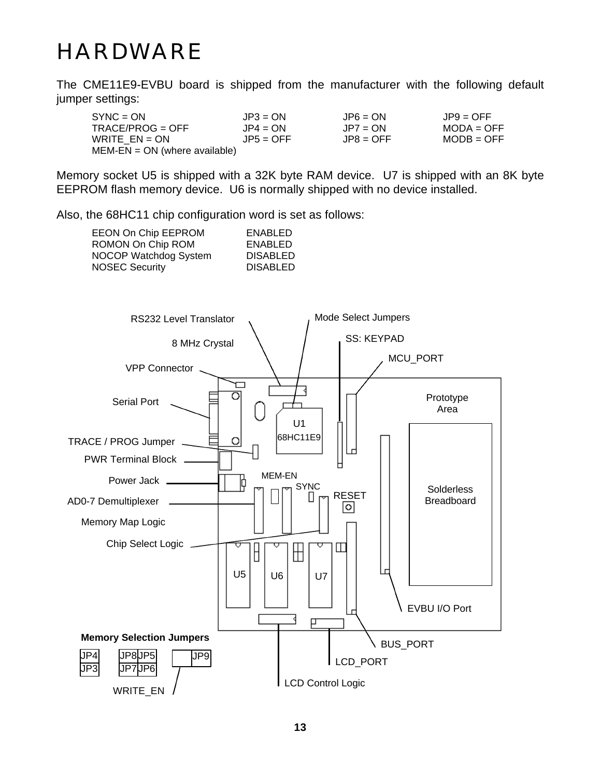# HARDWARE

The CME11E9-EVBU board is shipped from the manufacturer with the following default jumper settings:

| SYNC = ON_                    | $JPS = ON$  | $JPS = ON$  | $JPS = OFF$  |
|-------------------------------|-------------|-------------|--------------|
| TRACE/PROG = OFF              | $JP4 = ON$  | $JP7 = ON$  | $MODA = OFF$ |
| WRITE EN = ON                 | $JPS = OFF$ | $JPR = OFF$ | $MODB = OFF$ |
| MEM-EN = ON (where available) |             |             |              |

Memory socket U5 is shipped with a 32K byte RAM device. U7 is shipped with an 8K byte EEPROM flash memory device. U6 is normally shipped with no device installed.

Also, the 68HC11 chip configuration word is set as follows:

| EEON On Chip EEPROM   | ENABLED         |
|-----------------------|-----------------|
| ROMON On Chip ROM     | ENABLED         |
| NOCOP Watchdog System | <b>DISABLED</b> |
| <b>NOSEC Security</b> | <b>DISABLED</b> |
|                       |                 |

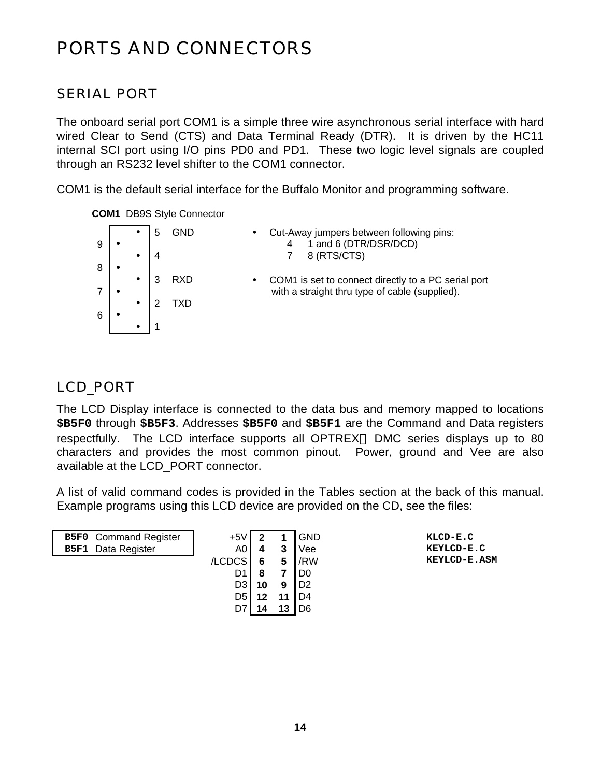### PORTS AND CONNECTORS

*SERIAL PORT*

The onboard serial port COM1 is a simple three wire asynchronous serial interface with hard wired Clear to Send (CTS) and Data Terminal Ready (DTR). It is driven by the HC11 internal SCI port using I/O pins PD0 and PD1. These two logic level signals are coupled through an RS232 level shifter to the COM1 connector.

COM1 is the default serial interface for the Buffalo Monitor and programming software.

#### **COM1** DB9S Style Connector

| 9 |  | GND | Cut-Away jumpers between following pins:<br>$\bullet$<br>1 and 6 (DTR/DSR/DCD)                                     |
|---|--|-----|--------------------------------------------------------------------------------------------------------------------|
|   |  |     | 8 (RTS/CTS)                                                                                                        |
| 8 |  | RXD |                                                                                                                    |
|   |  |     | COM1 is set to connect directly to a PC serial port<br>$\bullet$<br>with a straight thru type of cable (supplied). |
|   |  |     |                                                                                                                    |
| 6 |  |     |                                                                                                                    |
|   |  |     |                                                                                                                    |

#### *LCD\_PORT*

The LCD Display interface is connected to the data bus and memory mapped to locations **\$B5F0** through **\$B5F3**. Addresses **\$B5F0** and **\$B5F1** are the Command and Data registers respectfully. The LCD interface supports all OPTREX<sup>TM</sup> DMC series displays up to 80 characters and provides the most common pinout. Power, ground and Vee are also available at the LCD\_PORT connector.

A list of valid command codes is provided in the Tables section at the back of this manual. Example programs using this LCD device are provided on the CD, see the files:

| <b>B5F0</b> Command Register | $+5V$ I        | ີ  |    | <b>GND</b>     | KLCD-E.C     |
|------------------------------|----------------|----|----|----------------|--------------|
| <b>B5F1</b> Data Register    | A0             | 4  | 3  | Vee            | KEYLCD-E.C   |
|                              | /LCDCS         | 6  | 5  | /RW            | KEYLCD-E.ASM |
|                              | D1             | 8  |    | D <sub>0</sub> |              |
|                              | D <sub>3</sub> | 10 | 9  | D2             |              |
|                              | D5             | 12 | 11 | D4             |              |
|                              |                |    | 13 | D <sub>6</sub> |              |
|                              |                |    |    |                |              |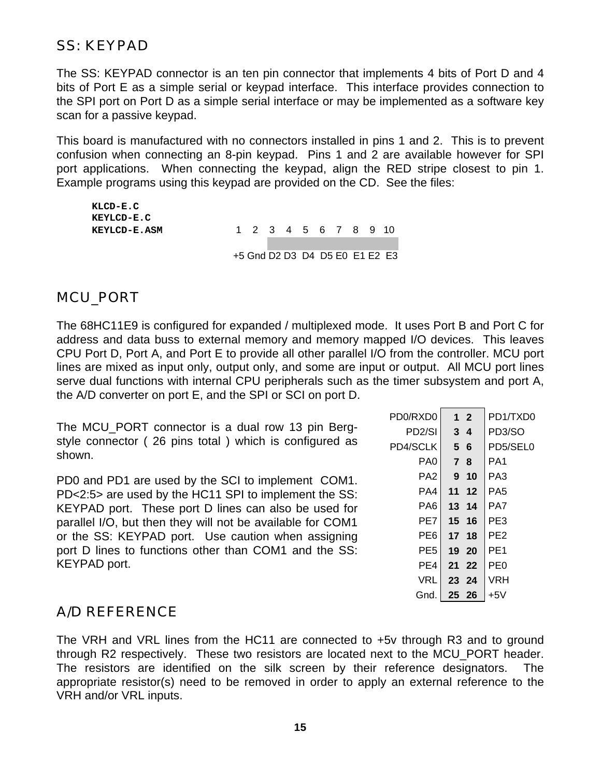*SS: KEYPAD*

The SS: KEYPAD connector is an ten pin connector that implements 4 bits of Port D and 4 bits of Port E as a simple serial or keypad interface. This interface provides connection to the SPI port on Port D as a simple serial interface or may be implemented as a software key scan for a passive keypad.

This board is manufactured with no connectors installed in pins 1 and 2. This is to prevent confusion when connecting an 8-pin keypad. Pins 1 and 2 are available however for SPI port applications. When connecting the keypad, align the RED stripe closest to pin 1. Example programs using this keypad are provided on the CD. See the files:

| KLCD-E.C     |                                |  |  |  |  |
|--------------|--------------------------------|--|--|--|--|
| KEYLCD-E.C   |                                |  |  |  |  |
| KEYLCD-E.ASM | 1 2 3 4 5 6 7 8 9 10           |  |  |  |  |
|              |                                |  |  |  |  |
|              | +5 Gnd D2 D3 D4 D5 E0 E1 E2 E3 |  |  |  |  |

#### *MCU\_PORT*

The 68HC11E9 is configured for expanded / multiplexed mode. It uses Port B and Port C for address and data buss to external memory and memory mapped I/O devices. This leaves CPU Port D, Port A, and Port E to provide all other parallel I/O from the controller. MCU port lines are mixed as input only, output only, and some are input or output. All MCU port lines serve dual functions with internal CPU peripherals such as the timer subsystem and port A, the A/D converter on port E, and the SPI or SCI on port D.

The MCU\_PORT connector is a dual row 13 pin Bergstyle connector ( 26 pins total ) which is configured as shown.

PD0 and PD1 are used by the SCI to implement COM1. PD<2:5> are used by the HC11 SPI to implement the SS: KEYPAD port. These port D lines can also be used for parallel I/O, but then they will not be available for COM1 or the SS: KEYPAD port. Use caution when assigning port D lines to functions other than COM1 and the SS: KEYPAD port.

| PD0/RXD0            |                | $1\quad 2$     | PD1/TXD0        |
|---------------------|----------------|----------------|-----------------|
| PD <sub>2</sub> /SI |                | 3 <sub>4</sub> | PD3/SO          |
| PD4/SCLK            | 5 <sup>5</sup> | -6             | PD5/SEL0        |
| PA <sub>0</sub>     | $\overline{7}$ | 8              | PA <sub>1</sub> |
| PA <sub>2</sub>     | 9              | 10             | PA <sub>3</sub> |
| PA4                 | 11             | 12             | PA <sub>5</sub> |
| PA6                 |                | 13 14          | PA7             |
| PE7                 |                | 15 16          | PE3             |
| PE6                 | 17             | 18             | PE <sub>2</sub> |
| PE <sub>5</sub>     |                | 19 20          | PE <sub>1</sub> |
| PE4                 | 21             | 22             | PE0             |
| VRL                 |                | 23 24          | VRH             |
| Gnd.                | 25             | -26            | +5V             |
|                     |                |                |                 |

#### *A/D REFERENCE*

The VRH and VRL lines from the HC11 are connected to +5v through R3 and to ground through R2 respectively. These two resistors are located next to the MCU\_PORT header. The resistors are identified on the silk screen by their reference designators. The appropriate resistor(s) need to be removed in order to apply an external reference to the VRH and/or VRL inputs.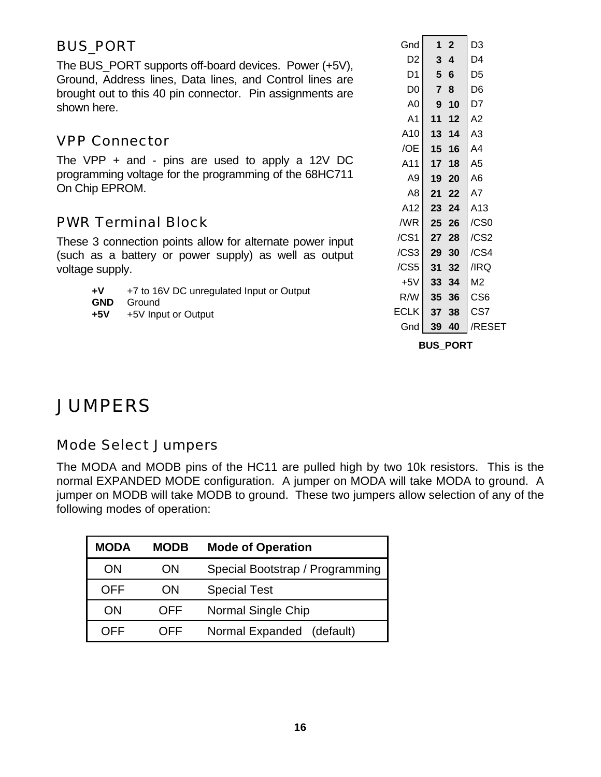#### *BUS\_PORT*

The BUS\_PORT supports off-board devices. Power (+5V), Ground, Address lines, Data lines, and Control lines are brought out to this 40 pin connector. Pin assignments are shown here.

#### *VPP Connector*

The VPP + and - pins are used to apply a 12V DC programming voltage for the programming of the 68HC711 On Chip EPROM.

#### *PWR Terminal Block*

These 3 connection points allow for alternate power input (such as a battery or power supply) as well as output voltage supply.

- **+V** +7 to 16V DC unregulated Input or Output
- **GND** Ground
- **+5V** +5V Input or Output

| 1              | $\mathbf{2}$    | D3                                                              |
|----------------|-----------------|-----------------------------------------------------------------|
|                |                 | D4                                                              |
|                | $6\phantom{1}6$ | D5                                                              |
| $\overline{7}$ | 8               | D6                                                              |
| 9              | 10              | D7                                                              |
| 11             | 12              | A <sub>2</sub>                                                  |
| 13             | 14              | A3                                                              |
| 15             | 16              | A4                                                              |
| 17             | 18              | A5                                                              |
| 19             | 20              | A6                                                              |
| 21             | 22              | A7                                                              |
|                | 24              | A13                                                             |
| 25             | 26              | /CS0                                                            |
| 27             | 28              | /CS2                                                            |
| 29             | 30              | /CS4                                                            |
| 31             | 32              | /IRQ                                                            |
|                | 34              | M2                                                              |
|                | 36              | CS <sub>6</sub>                                                 |
| 37             | 38              | CS7                                                             |
| 39             | 40              | /RESET                                                          |
|                |                 | 3 <sub>4</sub><br>5 <sup>1</sup><br>23 <sub>1</sub><br>33<br>35 |

**BUS\_PORT**

### **JUMPERS**

#### *Mode Select Jumpers*

The MODA and MODB pins of the HC11 are pulled high by two 10k resistors. This is the normal EXPANDED MODE configuration. A jumper on MODA will take MODA to ground. A jumper on MODB will take MODB to ground. These two jumpers allow selection of any of the following modes of operation:

| <b>MODA</b> | <b>MODB</b> | <b>Mode of Operation</b>        |
|-------------|-------------|---------------------------------|
| ON          | ON          | Special Bootstrap / Programming |
| OFF         | ON          | <b>Special Test</b>             |
| ON          | OFF         | Normal Single Chip              |
| OEE         | JEE.        | Normal Expanded (default)       |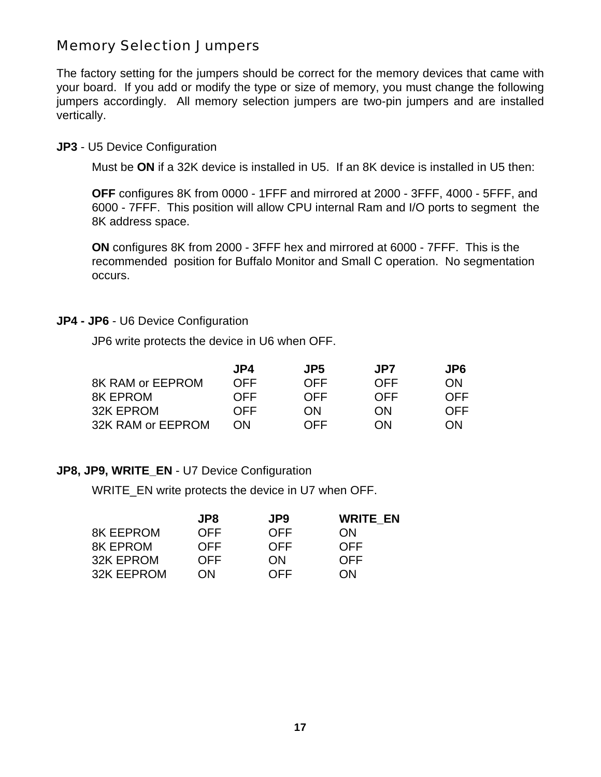#### *Memory Selection Jumpers*

The factory setting for the jumpers should be correct for the memory devices that came with your board. If you add or modify the type or size of memory, you must change the following jumpers accordingly. All memory selection jumpers are two-pin jumpers and are installed vertically.

#### **JP3** - U5 Device Configuration

Must be **ON** if a 32K device is installed in U5. If an 8K device is installed in U5 then:

**OFF** configures 8K from 0000 - 1FFF and mirrored at 2000 - 3FFF, 4000 - 5FFF, and 6000 - 7FFF. This position will allow CPU internal Ram and I/O ports to segment the 8K address space.

**ON** configures 8K from 2000 - 3FFF hex and mirrored at 6000 - 7FFF. This is the recommended position for Buffalo Monitor and Small C operation. No segmentation occurs.

#### **JP4 - JP6** - U6 Device Configuration

JP6 write protects the device in U6 when OFF.

|                   | JP4        | JP5        | JP7        | JP6 |
|-------------------|------------|------------|------------|-----|
| 8K RAM or EEPROM  | <b>OFF</b> | <b>OFF</b> | <b>OFF</b> | ON  |
| <b>8K EPROM</b>   | <b>OFF</b> | <b>OFF</b> | <b>OFF</b> | OFF |
| 32K EPROM         | <b>OFF</b> | <b>ON</b>  | ON         | OFF |
| 32K RAM or EEPROM | ON         | <b>OFF</b> | ON         | ON  |

#### **JP8, JP9, WRITE\_EN - U7 Device Configuration**

WRITE\_EN write protects the device in U7 when OFF.

|                  | JP8        | JP9        | <b>WRITE EN</b> |
|------------------|------------|------------|-----------------|
| <b>8K EEPROM</b> | <b>OFF</b> | <b>OFF</b> | ON              |
| <b>8K EPROM</b>  | <b>OFF</b> | <b>OFF</b> | <b>OFF</b>      |
| 32K EPROM        | <b>OFF</b> | ON         | <b>OFF</b>      |
| 32K EEPROM       | ON         | <b>OFF</b> | ON              |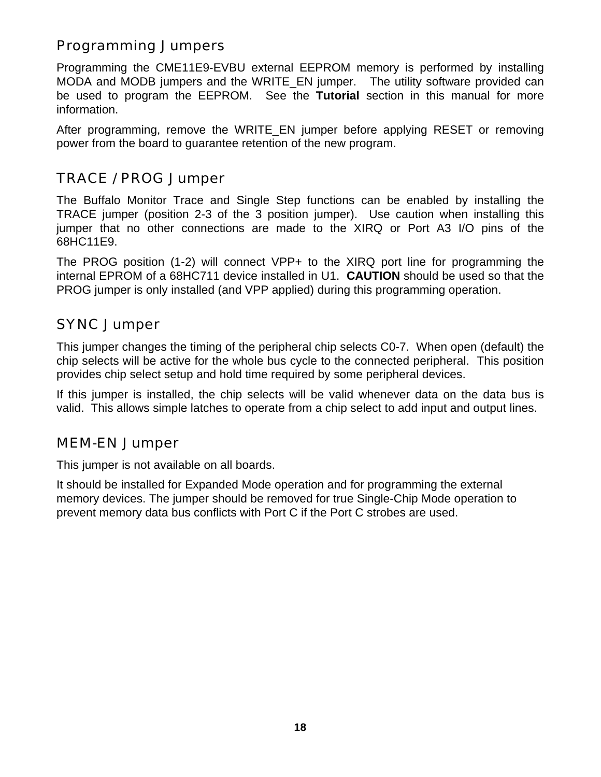#### *Programming Jumpers*

Programming the CME11E9-EVBU external EEPROM memory is performed by installing MODA and MODB jumpers and the WRITE\_EN jumper. The utility software provided can be used to program the EEPROM. See the **Tutorial** section in this manual for more information.

After programming, remove the WRITE EN jumper before applying RESET or removing power from the board to guarantee retention of the new program.

#### *TRACE / PROG Jumper*

The Buffalo Monitor Trace and Single Step functions can be enabled by installing the TRACE jumper (position 2-3 of the 3 position jumper). Use caution when installing this jumper that no other connections are made to the XIRQ or Port A3 I/O pins of the 68HC11E9.

The PROG position (1-2) will connect VPP+ to the XIRQ port line for programming the internal EPROM of a 68HC711 device installed in U1. **CAUTION** should be used so that the PROG jumper is only installed (and VPP applied) during this programming operation.

#### *SYNC Jumper*

This jumper changes the timing of the peripheral chip selects C0-7. When open (default) the chip selects will be active for the whole bus cycle to the connected peripheral. This position provides chip select setup and hold time required by some peripheral devices.

If this jumper is installed, the chip selects will be valid whenever data on the data bus is valid. This allows simple latches to operate from a chip select to add input and output lines.

#### *MEM-EN Jumper*

This jumper is not available on all boards.

It should be installed for Expanded Mode operation and for programming the external memory devices. The jumper should be removed for true Single-Chip Mode operation to prevent memory data bus conflicts with Port C if the Port C strobes are used.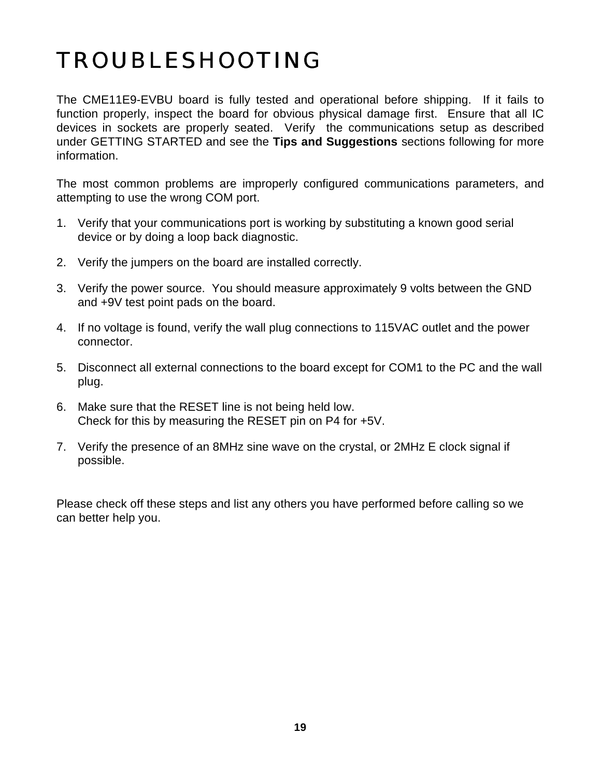# TROUBLESHOOTING

The CME11E9-EVBU board is fully tested and operational before shipping. If it fails to function properly, inspect the board for obvious physical damage first. Ensure that all IC devices in sockets are properly seated. Verify the communications setup as described under GETTING STARTED and see the **Tips and Suggestions** sections following for more information.

The most common problems are improperly configured communications parameters, and attempting to use the wrong COM port.

- 1. Verify that your communications port is working by substituting a known good serial device or by doing a loop back diagnostic.
- 2. Verify the jumpers on the board are installed correctly.
- 3. Verify the power source. You should measure approximately 9 volts between the GND and +9V test point pads on the board.
- 4. If no voltage is found, verify the wall plug connections to 115VAC outlet and the power connector.
- 5. Disconnect all external connections to the board except for COM1 to the PC and the wall plug.
- 6. Make sure that the RESET line is not being held low. Check for this by measuring the RESET pin on P4 for +5V.
- 7. Verify the presence of an 8MHz sine wave on the crystal, or 2MHz E clock signal if possible.

Please check off these steps and list any others you have performed before calling so we can better help you.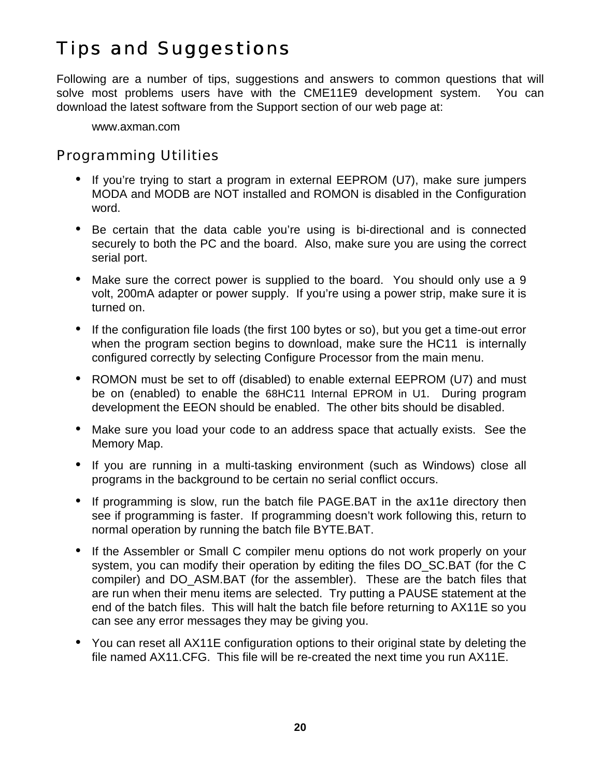### Tips and Suggestions

Following are a number of tips, suggestions and answers to common questions that will solve most problems users have with the CME11E9 development system. You can download the latest software from the Support section of our web page at:

www.axman.com

#### *Programming Utilities*

- If you're trying to start a program in external EEPROM (U7), make sure jumpers MODA and MODB are NOT installed and ROMON is disabled in the Configuration word.
- Be certain that the data cable you're using is bi-directional and is connected securely to both the PC and the board. Also, make sure you are using the correct serial port.
- Make sure the correct power is supplied to the board. You should only use a 9 volt, 200mA adapter or power supply. If you're using a power strip, make sure it is turned on.
- If the configuration file loads (the first 100 bytes or so), but you get a time-out error when the program section begins to download, make sure the HC11 is internally configured correctly by selecting Configure Processor from the main menu.
- ROMON must be set to off (disabled) to enable external EEPROM (U7) and must be on (enabled) to enable the 68HC11 Internal EPROM in U1. During program development the EEON should be enabled. The other bits should be disabled.
- Make sure you load your code to an address space that actually exists. See the Memory Map.
- If you are running in a multi-tasking environment (such as Windows) close all programs in the background to be certain no serial conflict occurs.
- If programming is slow, run the batch file PAGE.BAT in the ax11e directory then see if programming is faster. If programming doesn't work following this, return to normal operation by running the batch file BYTE.BAT.
- If the Assembler or Small C compiler menu options do not work properly on your system, you can modify their operation by editing the files DO\_SC.BAT (for the C compiler) and DO\_ASM.BAT (for the assembler). These are the batch files that are run when their menu items are selected. Try putting a PAUSE statement at the end of the batch files. This will halt the batch file before returning to AX11E so you can see any error messages they may be giving you.
- You can reset all AX11E configuration options to their original state by deleting the file named AX11.CFG. This file will be re-created the next time you run AX11E.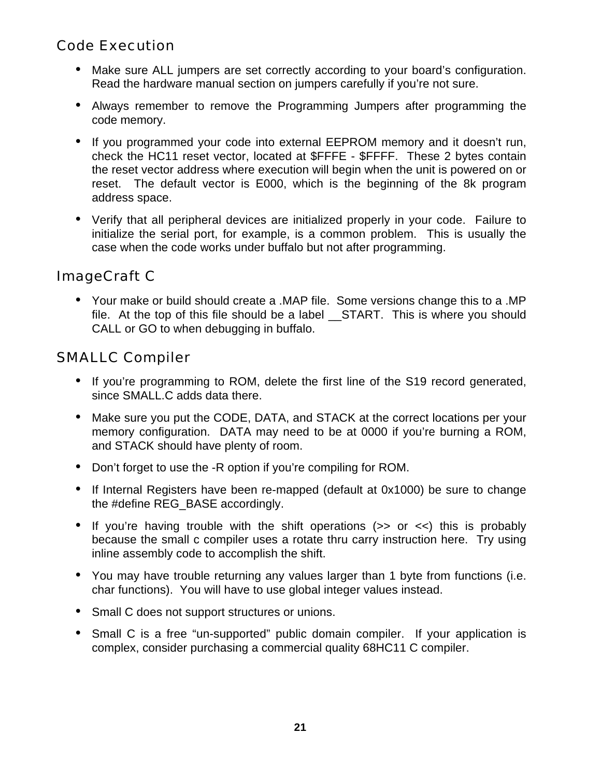#### *Code Execution*

- Make sure ALL jumpers are set correctly according to your board's configuration. Read the hardware manual section on jumpers carefully if you're not sure.
- Always remember to remove the Programming Jumpers after programming the code memory.
- If you programmed your code into external EEPROM memory and it doesn't run, check the HC11 reset vector, located at \$FFFE - \$FFFF. These 2 bytes contain the reset vector address where execution will begin when the unit is powered on or reset. The default vector is E000, which is the beginning of the 8k program address space.
- Verify that all peripheral devices are initialized properly in your code. Failure to initialize the serial port, for example, is a common problem. This is usually the case when the code works under buffalo but not after programming.

#### *ImageCraft C*

• Your make or build should create a .MAP file. Some versions change this to a .MP file. At the top of this file should be a label START. This is where you should CALL or GO to when debugging in buffalo.

#### *SMALLC Compiler*

- If you're programming to ROM, delete the first line of the S19 record generated, since SMALL.C adds data there.
- Make sure you put the CODE, DATA, and STACK at the correct locations per your memory configuration. DATA may need to be at 0000 if you're burning a ROM, and STACK should have plenty of room.
- Don't forget to use the -R option if you're compiling for ROM.
- If Internal Registers have been re-mapped (default at 0x1000) be sure to change the #define REG\_BASE accordingly.
- If you're having trouble with the shift operations  $(>= 0$  or  $\lt$ ) this is probably because the small c compiler uses a rotate thru carry instruction here. Try using inline assembly code to accomplish the shift.
- You may have trouble returning any values larger than 1 byte from functions (i.e. char functions). You will have to use global integer values instead.
- Small C does not support structures or unions.
- Small C is a free "un-supported" public domain compiler. If your application is complex, consider purchasing a commercial quality 68HC11 C compiler.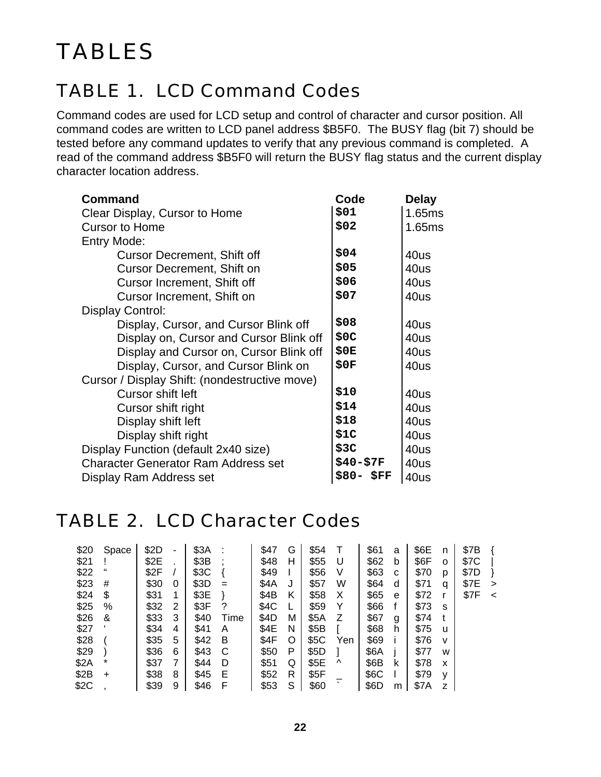### TABLE 1. LCD Command Codes

Command codes are used for LCD setup and control of character and cursor position. All command codes are written to LCD panel address \$B5F0. The BUSY flag (bit 7) should be tested before any command updates to verify that any previous command is completed. A read of the command address \$B5F0 will return the BUSY flag status and the current display character location address.

| <b>Command</b>                                | Code      | Delay  |  |
|-----------------------------------------------|-----------|--------|--|
| Clear Display, Cursor to Home                 | \$01      | 1.65ms |  |
| <b>Cursor to Home</b>                         | \$02      | 1.65ms |  |
| Entry Mode:                                   |           |        |  |
| <b>Cursor Decrement, Shift off</b>            | \$04      | 40us   |  |
| <b>Cursor Decrement, Shift on</b>             | \$05      | 40us   |  |
| Cursor Increment, Shift off                   | \$06      | 40us   |  |
| Cursor Increment, Shift on                    | \$07      | 40us   |  |
| Display Control:                              |           |        |  |
| Display, Cursor, and Cursor Blink off         | \$08      | 40us   |  |
| Display on, Cursor and Cursor Blink off       | \$0C      | 40us   |  |
| Display and Cursor on, Cursor Blink off       | \$0E      | 40us   |  |
| Display, Cursor, and Cursor Blink on          | \$0F      | 40us   |  |
| Cursor / Display Shift: (nondestructive move) |           |        |  |
| Cursor shift left                             | \$10      | 40us   |  |
| Cursor shift right                            | \$14      | 40us   |  |
| Display shift left                            | \$18      | 40us   |  |
| Display shift right                           | \$1C      | 40us   |  |
| Display Function (default 2x40 size)          | \$3C      | 40us   |  |
| <b>Character Generator Ram Address set</b>    | \$40-\$7F | 40us   |  |
| Display Ram Address set                       | \$80-\$FF | 40us   |  |

### TABLE 2. LCD Character Codes

| \$20 | Space    | \$2D |   | \$3A | ÷    | \$47 | G | \$54 |          | \$61 | a | \$6E | n | \$7B |         |
|------|----------|------|---|------|------|------|---|------|----------|------|---|------|---|------|---------|
| \$21 |          | \$2E |   | \$3B |      | \$48 | н | \$55 | U        | \$62 | b | \$6F | O | \$7C |         |
| \$22 | "        | \$2F |   | \$3C |      | \$49 |   | \$56 | V        | \$63 | C | \$70 | p | \$7D |         |
| \$23 | #        | \$30 | 0 | \$3D | $=$  | \$4A | J | \$57 | W        | \$64 | d | \$71 | q | \$7E | $\geq$  |
| \$24 | \$       | \$31 | 1 | \$3E |      | \$4B | Κ | \$58 | х        | \$65 | e | \$72 |   | \$7F | $\prec$ |
| \$25 | %        | \$32 | 2 | \$3F | ?    | \$4C |   | \$59 |          | \$66 |   | \$73 | s |      |         |
| \$26 | &        | \$33 | 3 | \$40 | Time | \$4D | М | \$5A | Ζ        | \$67 | g | \$74 |   |      |         |
| \$27 |          | \$34 | 4 | \$41 | Α    | \$4E | N | \$5B |          | \$68 | h | \$75 | u |      |         |
| \$28 |          | \$35 | 5 | \$42 | B    | \$4F | O | \$5C | Yen      | \$69 |   | \$76 | v |      |         |
| \$29 |          | \$36 | 6 | \$43 | С    | \$50 | P | \$5D |          | \$6A |   | \$77 | W |      |         |
| \$2A | $^\star$ | \$37 | 7 | \$44 | D    | \$51 | Q | \$5E | $\wedge$ | \$6B | ĸ | \$78 | x |      |         |
| \$2B | $\div$   | \$38 | 8 | \$45 | Е    | \$52 | R | \$5F |          | \$6C |   | \$79 | v |      |         |
| \$2C |          | \$39 | 9 | \$46 | F    | \$53 | S | \$60 | $\cdot$  | \$6D | m | \$7A | z |      |         |